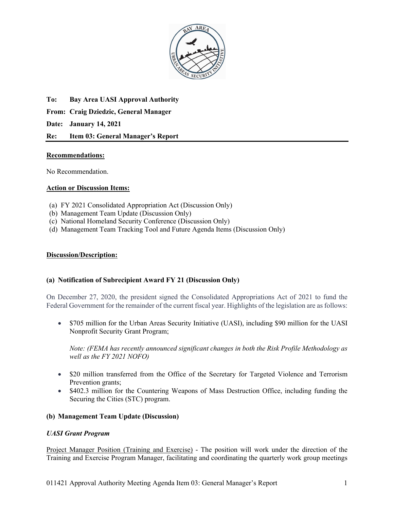

**To: Bay Area UASI Approval Authority From: Craig Dziedzic, General Manager Date: January 14, 2021**

# **Re: Item 03: General Manager's Report**

# **Recommendations:**

No Recommendation.

# **Action or Discussion Items:**

- (a) FY 2021 Consolidated Appropriation Act (Discussion Only)
- (b) Management Team Update (Discussion Only)
- (c) National Homeland Security Conference (Discussion Only)
- (d) Management Team Tracking Tool and Future Agenda Items (Discussion Only)

### **Discussion/Description:**

### **(a) Notification of Subrecipient Award FY 21 (Discussion Only)**

On December 27, 2020, the president signed the Consolidated Appropriations Act of 2021 to fund the Federal Government for the remainder of the current fiscal year. Highlights of the legislation are as follows:

• \$705 million for the Urban Areas Security Initiative (UASI), including \$90 million for the UASI Nonprofit Security Grant Program;

*Note: (FEMA has recently announced significant changes in both the Risk Profile Methodology as well as the FY 2021 NOFO)*

- \$20 million transferred from the Office of the Secretary for Targeted Violence and Terrorism Prevention grants;
- \$402.3 million for the Countering Weapons of Mass Destruction Office, including funding the Securing the Cities (STC) program.

# **(b) Management Team Update (Discussion)**

### *UASI Grant Program*

Project Manager Position (Training and Exercise) - The position will work under the direction of the Training and Exercise Program Manager, facilitating and coordinating the quarterly work group meetings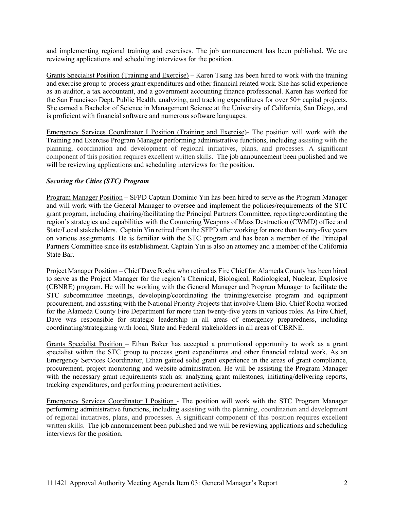and implementing regional training and exercises. The job announcement has been published. We are reviewing applications and scheduling interviews for the position.

Grants Specialist Position (Training and Exercise) – Karen Tsang has been hired to work with the training and exercise group to process grant expenditures and other financial related work. She has solid experience as an auditor, a tax accountant, and a government accounting finance professional. Karen has worked for the San Francisco Dept. Public Health, analyzing, and tracking expenditures for over 50+ capital projects. She earned a Bachelor of Science in Management Science at the University of California, San Diego, and is proficient with financial software and numerous software languages.

Emergency Services Coordinator I Position (Training and Exercise)- The position will work with the Training and Exercise Program Manager performing administrative functions, including assisting with the planning, coordination and development of regional initiatives, plans, and processes. A significant component of this position requires excellent written skills. The job announcement been published and we will be reviewing applications and scheduling interviews for the position.

# *Securing the Cities (STC) Program*

Program Manager Position – SFPD Captain Dominic Yin has been hired to serve as the Program Manager and will work with the General Manager to oversee and implement the policies/requirements of the STC grant program, including chairing/facilitating the Principal Partners Committee, reporting/coordinating the region's strategies and capabilities with the Countering Weapons of Mass Destruction (CWMD) office and State/Local stakeholders. Captain Yin retired from the SFPD after working for more than twenty-five years on various assignments. He is familiar with the STC program and has been a member of the Principal Partners Committee since its establishment. Captain Yin is also an attorney and a member of the California State Bar.

Project Manager Position – Chief Dave Rocha who retired as Fire Chief for Alameda County has been hired to serve as the Project Manager for the region's Chemical, Biological, Radiological, Nuclear, Explosive (CBNRE) program. He will be working with the General Manager and Program Manager to facilitate the STC subcommittee meetings, developing/coordinating the training/exercise program and equipment procurement, and assisting with the National Priority Projects that involve Chem-Bio. Chief Rocha worked for the Alameda County Fire Department for more than twenty-five years in various roles. As Fire Chief, Dave was responsible for strategic leadership in all areas of emergency preparedness, including coordinating/strategizing with local, State and Federal stakeholders in all areas of CBRNE.

Grants Specialist Position – Ethan Baker has accepted a promotional opportunity to work as a grant specialist within the STC group to process grant expenditures and other financial related work. As an Emergency Services Coordinator, Ethan gained solid grant experience in the areas of grant compliance, procurement, project monitoring and website administration. He will be assisting the Program Manager with the necessary grant requirements such as: analyzing grant milestones, initiating/delivering reports, tracking expenditures, and performing procurement activities.

Emergency Services Coordinator I Position - The position will work with the STC Program Manager performing administrative functions, including assisting with the planning, coordination and development of regional initiatives, plans, and processes. A significant component of this position requires excellent written skills. The job announcement been published and we will be reviewing applications and scheduling interviews for the position.